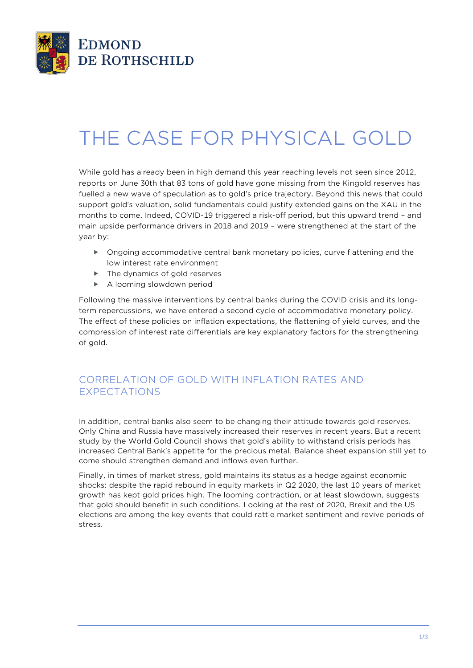

# THE CASE FOR PHYSICAL GOLD

While gold has already been in high demand this year reaching levels not seen since 2012, reports on June 30th that 83 tons of gold have gone missing from the Kingold reserves has fuelled a new wave of speculation as to gold's price trajectory. Beyond this news that could support gold's valuation, solid fundamentals could justify extended gains on the XAU in the months to come. Indeed, COVID-19 triggered a risk-off period, but this upward trend – and main upside performance drivers in 2018 and 2019 – were strengthened at the start of the year by:

- ▶ Ongoing accommodative central bank monetary policies, curve flattening and the low interest rate environment
- ▶ The dynamics of gold reserves
- A looming slowdown period

Following the massive interventions by central banks during the COVID crisis and its longterm repercussions, we have entered a second cycle of accommodative monetary policy. The effect of these policies on inflation expectations, the flattening of yield curves, and the compression of interest rate differentials are key explanatory factors for the strengthening of gold.

## CORRELATION OF GOLD WITH INFLATION RATES AND EXPECTATIONS

In addition, central banks also seem to be changing their attitude towards gold reserves. Only China and Russia have massively increased their reserves in recent years. But a recent study by the World Gold Council shows that gold's ability to withstand crisis periods has increased Central Bank's appetite for the precious metal. Balance sheet expansion still yet to come should strengthen demand and inflows even further.

Finally, in times of market stress, gold maintains its status as a hedge against economic shocks: despite the rapid rebound in equity markets in Q2 2020, the last 10 years of market growth has kept gold prices high. The looming contraction, or at least slowdown, suggests that gold should benefit in such conditions. Looking at the rest of 2020, Brexit and the US elections are among the key events that could rattle market sentiment and revive periods of stress.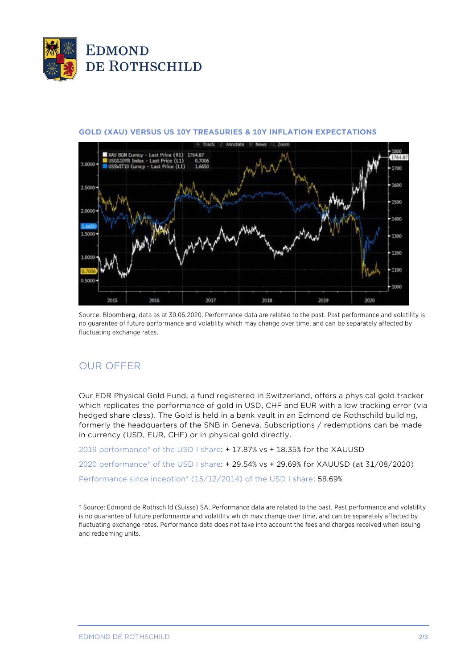



#### **GOLD (XAU) VERSUS US 10Y TREASURIES & 10Y INFLATION EXPECTATIONS**

Source: Bloomberg, data as at 30.06.2020. Performance data are related to the past. Past performance and volatility is no guarantee of future performance and volatility which may change over time, and can be separately affected by fluctuating exchange rates.

### OUR OFFER

Our EDR Physical Gold Fund, a fund registered in Switzerland, offers a physical gold tracker which replicates the performance of gold in USD, CHF and EUR with a low tracking error (via hedged share class). The Gold is held in a bank vault in an Edmond de Rothschild building, formerly the headquarters of the SNB in Geneva. Subscriptions / redemptions can be made in currency (USD, EUR, CHF) or in physical gold directly.

2019 performance\* of the USD I share: + 17.87% vs + 18.35% for the XAUUSD 2020 performance\* of the USD I share: + 29.54% vs + 29.69% for XAUUSD (at 31/08/2020) Performance since inception\* (15/12/2014) of the USD I share: 58.69%

\* Source: Edmond de Rothschild (Suisse) SA. Performance data are related to the past. Past performance and volatility is no guarantee of future performance and volatility which may change over time, and can be separately affected by fluctuating exchange rates. Performance data does not take into account the fees and charges received when issuing and redeeming units.